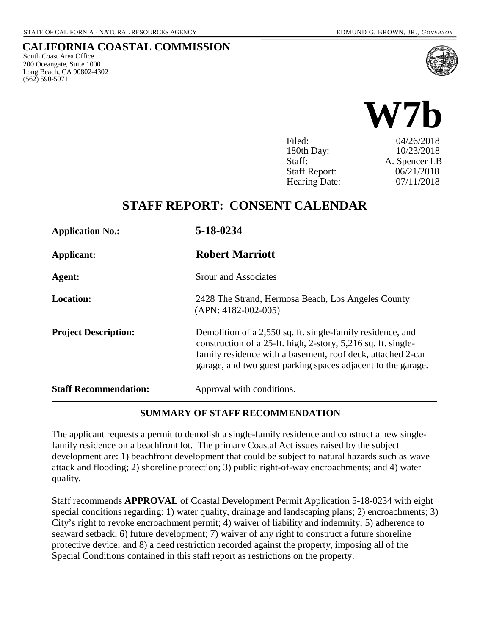South Coast Area Office 200 Oceangate, Suite 1000 Long Beach, CA 90802-4302

(562) 590-5071

**CALIFORNIA COASTAL COMMISSION**



| Filed:               | 04/26/2018    |
|----------------------|---------------|
| 180th Day:           | 10/23/2018    |
| Staff:               | A. Spencer LB |
| <b>Staff Report:</b> | 06/21/2018    |
| <b>Hearing Date:</b> | 07/11/2018    |

# **STAFF REPORT: CONSENT CALENDAR**

| <b>Application No.:</b>      | 5-18-0234                                                                                                                                                                                                                                                  |
|------------------------------|------------------------------------------------------------------------------------------------------------------------------------------------------------------------------------------------------------------------------------------------------------|
| Applicant:                   | <b>Robert Marriott</b>                                                                                                                                                                                                                                     |
| Agent:                       | <b>Srour and Associates</b>                                                                                                                                                                                                                                |
| <b>Location:</b>             | 2428 The Strand, Hermosa Beach, Los Angeles County<br>$(APN: 4182-002-005)$                                                                                                                                                                                |
| <b>Project Description:</b>  | Demolition of a 2,550 sq. ft. single-family residence, and<br>construction of a 25-ft. high, 2-story, 5,216 sq. ft. single-<br>family residence with a basement, roof deck, attached 2-car<br>garage, and two guest parking spaces adjacent to the garage. |
| <b>Staff Recommendation:</b> | Approval with conditions.                                                                                                                                                                                                                                  |

#### **SUMMARY OF STAFF RECOMMENDATION**

The applicant requests a permit to demolish a single-family residence and construct a new singlefamily residence on a beachfront lot. The primary Coastal Act issues raised by the subject development are: 1) beachfront development that could be subject to natural hazards such as wave attack and flooding; 2) shoreline protection; 3) public right-of-way encroachments; and 4) water quality.

Staff recommends **APPROVAL** of Coastal Development Permit Application 5-18-0234 with eight special conditions regarding: 1) water quality, drainage and landscaping plans; 2) encroachments; 3) City's right to revoke encroachment permit; 4) waiver of liability and indemnity; 5) adherence to seaward setback; 6) future development; 7) waiver of any right to construct a future shoreline protective device; and 8) a deed restriction recorded against the property, imposing all of the Special Conditions contained in this staff report as restrictions on the property.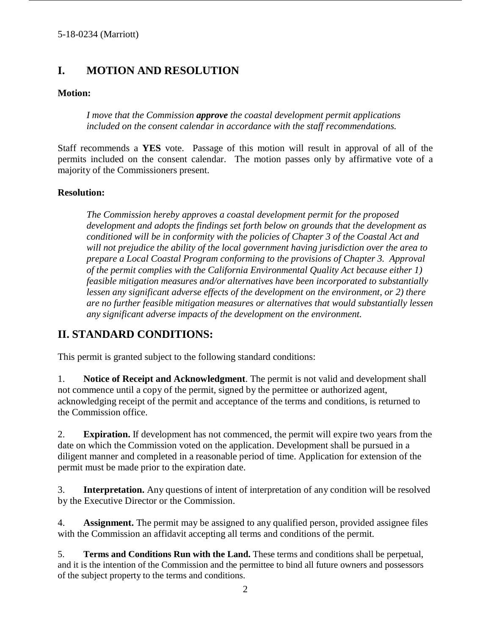# **I. MOTION AND RESOLUTION**

#### **Motion:**

*I move that the Commission approve the coastal development permit applications included on the consent calendar in accordance with the staff recommendations.*

Staff recommends a **YES** vote. Passage of this motion will result in approval of all of the permits included on the consent calendar. The motion passes only by affirmative vote of a majority of the Commissioners present.

#### **Resolution:**

*The Commission hereby approves a coastal development permit for the proposed development and adopts the findings set forth below on grounds that the development as conditioned will be in conformity with the policies of Chapter 3 of the Coastal Act and will not prejudice the ability of the local government having jurisdiction over the area to prepare a Local Coastal Program conforming to the provisions of Chapter 3. Approval of the permit complies with the California Environmental Quality Act because either 1) feasible mitigation measures and/or alternatives have been incorporated to substantially lessen any significant adverse effects of the development on the environment, or 2) there are no further feasible mitigation measures or alternatives that would substantially lessen any significant adverse impacts of the development on the environment.*

### **II. STANDARD CONDITIONS:**

This permit is granted subject to the following standard conditions:

1. **Notice of Receipt and Acknowledgment**. The permit is not valid and development shall not commence until a copy of the permit, signed by the permittee or authorized agent, acknowledging receipt of the permit and acceptance of the terms and conditions, is returned to the Commission office.

2. **Expiration.** If development has not commenced, the permit will expire two years from the date on which the Commission voted on the application. Development shall be pursued in a diligent manner and completed in a reasonable period of time. Application for extension of the permit must be made prior to the expiration date.

3. **Interpretation.** Any questions of intent of interpretation of any condition will be resolved by the Executive Director or the Commission.

4. **Assignment.** The permit may be assigned to any qualified person, provided assignee files with the Commission an affidavit accepting all terms and conditions of the permit.

5. **Terms and Conditions Run with the Land.** These terms and conditions shall be perpetual, and it is the intention of the Commission and the permittee to bind all future owners and possessors of the subject property to the terms and conditions.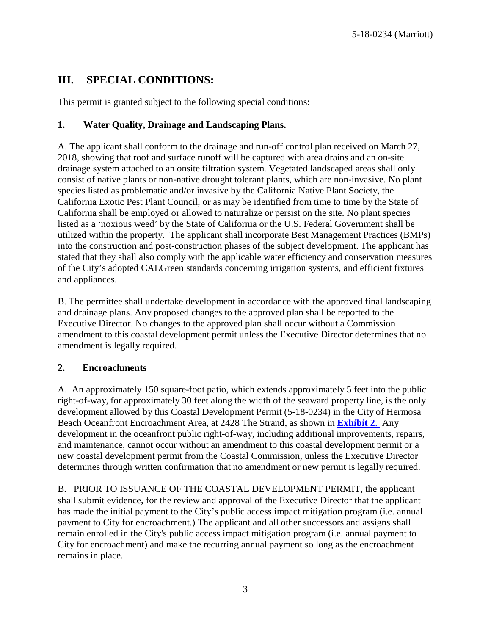## **III. SPECIAL CONDITIONS:**

This permit is granted subject to the following special conditions:

### **1. Water Quality, Drainage and Landscaping Plans.**

A. The applicant shall conform to the drainage and run-off control plan received on March 27, 2018, showing that roof and surface runoff will be captured with area drains and an on-site drainage system attached to an onsite filtration system. Vegetated landscaped areas shall only consist of native plants or non-native drought tolerant plants, which are non-invasive. No plant species listed as problematic and/or invasive by the California Native Plant Society, the California Exotic Pest Plant Council, or as may be identified from time to time by the State of California shall be employed or allowed to naturalize or persist on the site. No plant species listed as a 'noxious weed' by the State of California or the U.S. Federal Government shall be utilized within the property. The applicant shall incorporate Best Management Practices (BMPs) into the construction and post-construction phases of the subject development. The applicant has stated that they shall also comply with the applicable water efficiency and conservation measures of the City's adopted CALGreen standards concerning irrigation systems, and efficient fixtures and appliances.

B. The permittee shall undertake development in accordance with the approved final landscaping and drainage plans. Any proposed changes to the approved plan shall be reported to the Executive Director. No changes to the approved plan shall occur without a Commission amendment to this coastal development permit unless the Executive Director determines that no amendment is legally required.

#### **2. Encroachments**

A. An approximately 150 square-foot patio, which extends approximately 5 feet into the public right-of-way, for approximately 30 feet along the width of the seaward property line, is the only development allowed by this Coastal Development Permit (5-18-0234) in the City of Hermosa Beach Oceanfront Encroachment Area, at 2428 The Strand, as shown in **[Exhibit](https://documents.coastal.ca.gov/reports/2018/7/W7b/W7b-7-2018-exhibits.pdf) 2**. Any development in the oceanfront public right-of-way, including additional improvements, repairs, and maintenance, cannot occur without an amendment to this coastal development permit or a new coastal development permit from the Coastal Commission, unless the Executive Director determines through written confirmation that no amendment or new permit is legally required.

B. PRIOR TO ISSUANCE OF THE COASTAL DEVELOPMENT PERMIT, the applicant shall submit evidence, for the review and approval of the Executive Director that the applicant has made the initial payment to the City's public access impact mitigation program (i.e. annual payment to City for encroachment.) The applicant and all other successors and assigns shall remain enrolled in the City's public access impact mitigation program (i.e. annual payment to City for encroachment) and make the recurring annual payment so long as the encroachment remains in place.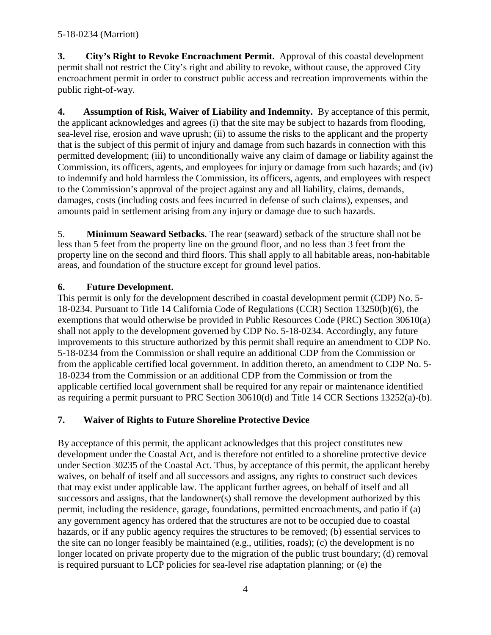**3. City's Right to Revoke Encroachment Permit.** Approval of this coastal development permit shall not restrict the City's right and ability to revoke, without cause, the approved City encroachment permit in order to construct public access and recreation improvements within the public right-of-way.

**4. Assumption of Risk, Waiver of Liability and Indemnity.** By acceptance of this permit, the applicant acknowledges and agrees (i) that the site may be subject to hazards from flooding, sea-level rise, erosion and wave uprush; (ii) to assume the risks to the applicant and the property that is the subject of this permit of injury and damage from such hazards in connection with this permitted development; (iii) to unconditionally waive any claim of damage or liability against the Commission, its officers, agents, and employees for injury or damage from such hazards; and (iv) to indemnify and hold harmless the Commission, its officers, agents, and employees with respect to the Commission's approval of the project against any and all liability, claims, demands, damages, costs (including costs and fees incurred in defense of such claims), expenses, and amounts paid in settlement arising from any injury or damage due to such hazards.

5. **Minimum Seaward Setbacks**. The rear (seaward) setback of the structure shall not be less than 5 feet from the property line on the ground floor, and no less than 3 feet from the property line on the second and third floors. This shall apply to all habitable areas, non-habitable areas, and foundation of the structure except for ground level patios.

### **6. Future Development.**

This permit is only for the development described in coastal development permit (CDP) No. 5- 18-0234. Pursuant to Title 14 California Code of Regulations (CCR) Section 13250(b)(6), the exemptions that would otherwise be provided in Public Resources Code (PRC) Section 30610(a) shall not apply to the development governed by CDP No. 5-18-0234. Accordingly, any future improvements to this structure authorized by this permit shall require an amendment to CDP No. 5-18-0234 from the Commission or shall require an additional CDP from the Commission or from the applicable certified local government. In addition thereto, an amendment to CDP No. 5- 18-0234 from the Commission or an additional CDP from the Commission or from the applicable certified local government shall be required for any repair or maintenance identified as requiring a permit pursuant to PRC Section 30610(d) and Title 14 CCR Sections 13252(a)-(b).

### **7. Waiver of Rights to Future Shoreline Protective Device**

By acceptance of this permit, the applicant acknowledges that this project constitutes new development under the Coastal Act, and is therefore not entitled to a shoreline protective device under Section 30235 of the Coastal Act. Thus, by acceptance of this permit, the applicant hereby waives, on behalf of itself and all successors and assigns, any rights to construct such devices that may exist under applicable law. The applicant further agrees, on behalf of itself and all successors and assigns, that the landowner(s) shall remove the development authorized by this permit, including the residence, garage, foundations, permitted encroachments, and patio if (a) any government agency has ordered that the structures are not to be occupied due to coastal hazards, or if any public agency requires the structures to be removed; (b) essential services to the site can no longer feasibly be maintained (e.g., utilities, roads); (c) the development is no longer located on private property due to the migration of the public trust boundary; (d) removal is required pursuant to LCP policies for sea-level rise adaptation planning; or (e) the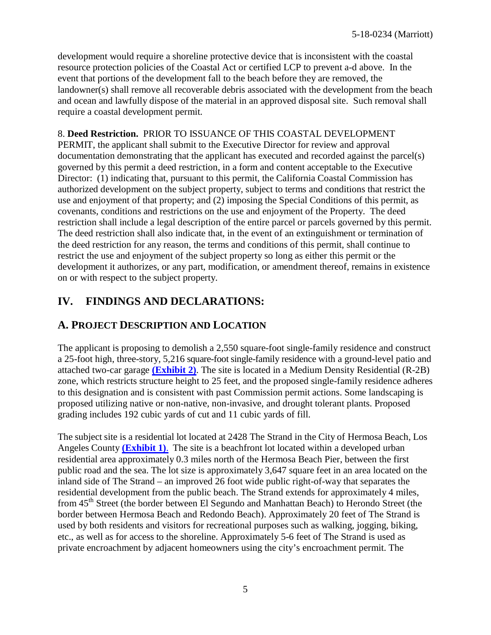development would require a shoreline protective device that is inconsistent with the coastal resource protection policies of the Coastal Act or certified LCP to prevent a-d above. In the event that portions of the development fall to the beach before they are removed, the landowner(s) shall remove all recoverable debris associated with the development from the beach and ocean and lawfully dispose of the material in an approved disposal site. Such removal shall require a coastal development permit.

#### 8. **Deed Restriction.** PRIOR TO ISSUANCE OF THIS COASTAL DEVELOPMENT PERMIT, the applicant shall submit to the Executive Director for review and approval documentation demonstrating that the applicant has executed and recorded against the parcel(s) governed by this permit a deed restriction, in a form and content acceptable to the Executive Director: (1) indicating that, pursuant to this permit, the California Coastal Commission has

authorized development on the subject property, subject to terms and conditions that restrict the use and enjoyment of that property; and (2) imposing the Special Conditions of this permit, as covenants, conditions and restrictions on the use and enjoyment of the Property. The deed restriction shall include a legal description of the entire parcel or parcels governed by this permit. The deed restriction shall also indicate that, in the event of an extinguishment or termination of the deed restriction for any reason, the terms and conditions of this permit, shall continue to restrict the use and enjoyment of the subject property so long as either this permit or the development it authorizes, or any part, modification, or amendment thereof, remains in existence on or with respect to the subject property.

# **IV. FINDINGS AND DECLARATIONS:**

# **A. PROJECT DESCRIPTION AND LOCATION**

The applicant is proposing to demolish a 2,550 square-foot single-family residence and construct a 25-foot high, three-story, 5,216 square-foot single-family residence with a ground-level patio and attached two-car garage **[\(Exhibit 2\)](https://documents.coastal.ca.gov/reports/2018/7/W7b/W7b-7-2018-exhibits.pdf)**. The site is located in a Medium Density Residential (R-2B) zone, which restricts structure height to 25 feet, and the proposed single-family residence adheres to this designation and is consistent with past Commission permit actions. Some landscaping is proposed utilizing native or non-native, non-invasive, and drought tolerant plants. Proposed grading includes 192 cubic yards of cut and 11 cubic yards of fill.

The subject site is a residential lot located at 2428 The Strand in the City of Hermosa Beach, Los Angeles County **[\(Exhibit 1\)](https://documents.coastal.ca.gov/reports/2018/7/W7b/W7b-7-2018-exhibits.pdf)**. The site is a beachfront lot located within a developed urban residential area approximately 0.3 miles north of the Hermosa Beach Pier, between the first public road and the sea. The lot size is approximately 3,647 square feet in an area located on the inland side of The Strand – an improved 26 foot wide public right-of-way that separates the residential development from the public beach. The Strand extends for approximately 4 miles, from 45<sup>th</sup> Street (the border between El Segundo and Manhattan Beach) to Herondo Street (the border between Hermosa Beach and Redondo Beach). Approximately 20 feet of The Strand is used by both residents and visitors for recreational purposes such as walking, jogging, biking, etc., as well as for access to the shoreline. Approximately 5-6 feet of The Strand is used as private encroachment by adjacent homeowners using the city's encroachment permit. The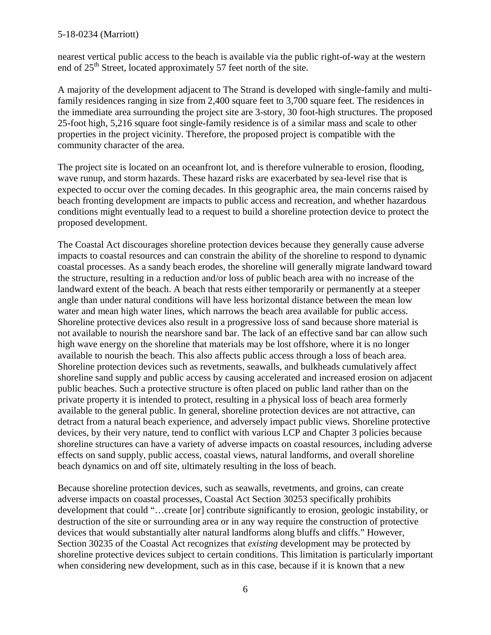nearest vertical public access to the beach is available via the public right-of-way at the western end of  $25<sup>th</sup>$  Street, located approximately 57 feet north of the site.

A majority of the development adjacent to The Strand is developed with single-family and multifamily residences ranging in size from 2,400 square feet to 3,700 square feet. The residences in the immediate area surrounding the project site are 3-story, 30 foot-high structures. The proposed 25-foot high, 5,216 square foot single-family residence is of a similar mass and scale to other properties in the project vicinity. Therefore, the proposed project is compatible with the community character of the area.

The project site is located on an oceanfront lot, and is therefore vulnerable to erosion, flooding, wave runup, and storm hazards. These hazard risks are exacerbated by sea-level rise that is expected to occur over the coming decades. In this geographic area, the main concerns raised by beach fronting development are impacts to public access and recreation, and whether hazardous conditions might eventually lead to a request to build a shoreline protection device to protect the proposed development.

The Coastal Act discourages shoreline protection devices because they generally cause adverse impacts to coastal resources and can constrain the ability of the shoreline to respond to dynamic coastal processes. As a sandy beach erodes, the shoreline will generally migrate landward toward the structure, resulting in a reduction and/or loss of public beach area with no increase of the landward extent of the beach. A beach that rests either temporarily or permanently at a steeper angle than under natural conditions will have less horizontal distance between the mean low water and mean high water lines, which narrows the beach area available for public access. Shoreline protective devices also result in a progressive loss of sand because shore material is not available to nourish the nearshore sand bar. The lack of an effective sand bar can allow such high wave energy on the shoreline that materials may be lost offshore, where it is no longer available to nourish the beach. This also affects public access through a loss of beach area. Shoreline protection devices such as revetments, seawalls, and bulkheads cumulatively affect shoreline sand supply and public access by causing accelerated and increased erosion on adjacent public beaches. Such a protective structure is often placed on public land rather than on the private property it is intended to protect, resulting in a physical loss of beach area formerly available to the general public. In general, shoreline protection devices are not attractive, can detract from a natural beach experience, and adversely impact public views. Shoreline protective devices, by their very nature, tend to conflict with various LCP and Chapter 3 policies because shoreline structures can have a variety of adverse impacts on coastal resources, including adverse effects on sand supply, public access, coastal views, natural landforms, and overall shoreline beach dynamics on and off site, ultimately resulting in the loss of beach.

Because shoreline protection devices, such as seawalls, revetments, and groins, can create adverse impacts on coastal processes, Coastal Act Section 30253 specifically prohibits development that could "…create [or] contribute significantly to erosion, geologic instability, or destruction of the site or surrounding area or in any way require the construction of protective devices that would substantially alter natural landforms along bluffs and cliffs." However, Section 30235 of the Coastal Act recognizes that *existing* development may be protected by shoreline protective devices subject to certain conditions. This limitation is particularly important when considering new development, such as in this case, because if it is known that a new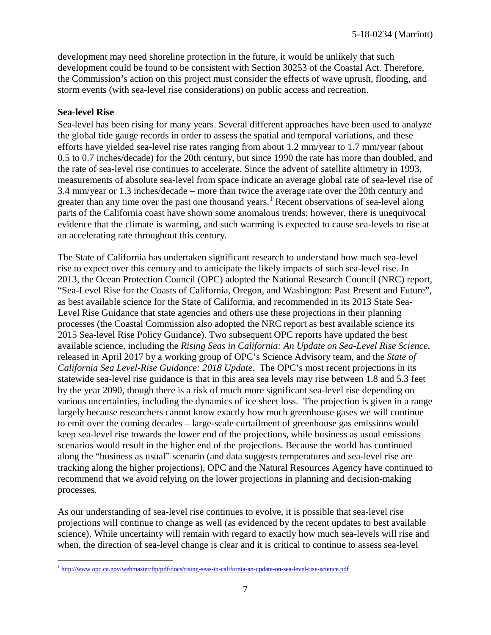development may need shoreline protection in the future, it would be unlikely that such development could be found to be consistent with Section 30253 of the Coastal Act. Therefore, the Commission's action on this project must consider the effects of wave uprush, flooding, and storm events (with sea-level rise considerations) on public access and recreation.

#### **Sea-level Rise**

Sea-level has been rising for many years. Several different approaches have been used to analyze the global tide gauge records in order to assess the spatial and temporal variations, and these efforts have yielded sea-level rise rates ranging from about 1.2 mm/year to 1.7 mm/year (about 0.5 to 0.7 inches/decade) for the 20th century, but since 1990 the rate has more than doubled, and the rate of sea-level rise continues to accelerate. Since the advent of satellite altimetry in 1993, measurements of absolute sea-level from space indicate an average global rate of sea-level rise of 3.4 mm/year or 1.3 inches/decade – more than twice the average rate over the 20th century and greater than any time over the past one thousand years.<sup>[1](#page-6-0)</sup> Recent observations of sea-level along parts of the California coast have shown some anomalous trends; however, there is unequivocal evidence that the climate is warming, and such warming is expected to cause sea-levels to rise at an accelerating rate throughout this century.

The State of California has undertaken significant research to understand how much sea-level rise to expect over this century and to anticipate the likely impacts of such sea-level rise. In 2013, the Ocean Protection Council (OPC) adopted the National Research Council (NRC) report, "Sea-Level Rise for the Coasts of California, Oregon, and Washington: Past Present and Future", as best available science for the State of California, and recommended in its 2013 State Sea-Level Rise Guidance that state agencies and others use these projections in their planning processes (the Coastal Commission also adopted the NRC report as best available science its 2015 Sea-level Rise Policy Guidance). Two subsequent OPC reports have updated the best available science, including the *Rising Seas in California: An Update on Sea-Level Rise Science*, released in April 2017 by a working group of OPC's Science Advisory team, and the *State of California Sea Level-Rise Guidance: 2018 Update*. The OPC's most recent projections in its statewide sea-level rise guidance is that in this area sea levels may rise between 1.8 and 5.3 feet by the year 2090, though there is a risk of much more significant sea-level rise depending on various uncertainties, including the dynamics of ice sheet loss. The projection is given in a range largely because researchers cannot know exactly how much greenhouse gases we will continue to emit over the coming decades – large-scale curtailment of greenhouse gas emissions would keep sea-level rise towards the lower end of the projections, while business as usual emissions scenarios would result in the higher end of the projections. Because the world has continued along the "business as usual" scenario (and data suggests temperatures and sea-level rise are tracking along the higher projections), OPC and the Natural Resources Agency have continued to recommend that we avoid relying on the lower projections in planning and decision-making processes.

As our understanding of sea-level rise continues to evolve, it is possible that sea-level rise projections will continue to change as well (as evidenced by the recent updates to best available science). While uncertainty will remain with regard to exactly how much sea-levels will rise and when, the direction of sea-level change is clear and it is critical to continue to assess sea-level

<span id="page-6-0"></span> $\overline{a}$ <sup>1</sup> <http://www.opc.ca.gov/webmaster/ftp/pdf/docs/rising-seas-in-california-an-update-on-sea-level-rise-science.pdf>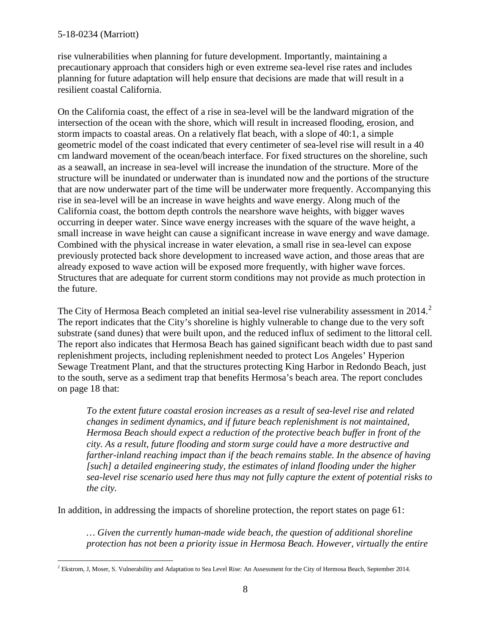rise vulnerabilities when planning for future development. Importantly, maintaining a precautionary approach that considers high or even extreme sea-level rise rates and includes planning for future adaptation will help ensure that decisions are made that will result in a resilient coastal California.

On the California coast, the effect of a rise in sea-level will be the landward migration of the intersection of the ocean with the shore, which will result in increased flooding, erosion, and storm impacts to coastal areas. On a relatively flat beach, with a slope of 40:1, a simple geometric model of the coast indicated that every centimeter of sea-level rise will result in a 40 cm landward movement of the ocean/beach interface. For fixed structures on the shoreline, such as a seawall, an increase in sea-level will increase the inundation of the structure. More of the structure will be inundated or underwater than is inundated now and the portions of the structure that are now underwater part of the time will be underwater more frequently. Accompanying this rise in sea-level will be an increase in wave heights and wave energy. Along much of the California coast, the bottom depth controls the nearshore wave heights, with bigger waves occurring in deeper water. Since wave energy increases with the square of the wave height, a small increase in wave height can cause a significant increase in wave energy and wave damage. Combined with the physical increase in water elevation, a small rise in sea-level can expose previously protected back shore development to increased wave action, and those areas that are already exposed to wave action will be exposed more frequently, with higher wave forces. Structures that are adequate for current storm conditions may not provide as much protection in the future.

The City of Hermosa Beach completed an initial sea-level rise vulnerability assessment in [2](#page-7-0)014.<sup>2</sup> The report indicates that the City's shoreline is highly vulnerable to change due to the very soft substrate (sand dunes) that were built upon, and the reduced influx of sediment to the littoral cell. The report also indicates that Hermosa Beach has gained significant beach width due to past sand replenishment projects, including replenishment needed to protect Los Angeles' Hyperion Sewage Treatment Plant, and that the structures protecting King Harbor in Redondo Beach, just to the south, serve as a sediment trap that benefits Hermosa's beach area. The report concludes on page 18 that:

*To the extent future coastal erosion increases as a result of sea-level rise and related changes in sediment dynamics, and if future beach replenishment is not maintained, Hermosa Beach should expect a reduction of the protective beach buffer in front of the city. As a result, future flooding and storm surge could have a more destructive and farther-inland reaching impact than if the beach remains stable. In the absence of having [such] a detailed engineering study, the estimates of inland flooding under the higher sea-level rise scenario used here thus may not fully capture the extent of potential risks to the city.*

In addition, in addressing the impacts of shoreline protection, the report states on page 61:

*… Given the currently human-made wide beach, the question of additional shoreline protection has not been a priority issue in Hermosa Beach. However, virtually the entire* 

<span id="page-7-0"></span> $\overline{a}$  $^2$  Ekstrom, J, Moser, S. Vulnerability and Adaptation to Sea Level Rise: An Assessment for the City of Hermosa Beach, September 2014.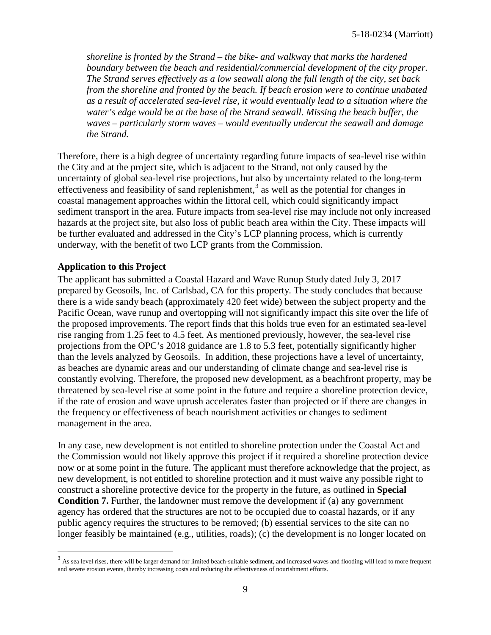*shoreline is fronted by the Strand – the bike- and walkway that marks the hardened boundary between the beach and residential/commercial development of the city proper. The Strand serves effectively as a low seawall along the full length of the city, set back from the shoreline and fronted by the beach. If beach erosion were to continue unabated as a result of accelerated sea-level rise, it would eventually lead to a situation where the water's edge would be at the base of the Strand seawall. Missing the beach buffer, the waves – particularly storm waves – would eventually undercut the seawall and damage the Strand.* 

Therefore, there is a high degree of uncertainty regarding future impacts of sea-level rise within the City and at the project site, which is adjacent to the Strand, not only caused by the uncertainty of global sea-level rise projections, but also by uncertainty related to the long-term effectiveness and feasibility of sand replenishment,<sup>[3](#page-8-0)</sup> as well as the potential for changes in coastal management approaches within the littoral cell, which could significantly impact sediment transport in the area. Future impacts from sea-level rise may include not only increased hazards at the project site, but also loss of public beach area within the City. These impacts will be further evaluated and addressed in the City's LCP planning process, which is currently underway, with the benefit of two LCP grants from the Commission.

#### **Application to this Project**

 $\overline{a}$ 

The applicant has submitted a Coastal Hazard and Wave Runup Study dated July 3, 2017 prepared by Geosoils, Inc. of Carlsbad, CA for this property. The study concludes that because there is a wide sandy beach **(**approximately 420 feet wide) between the subject property and the Pacific Ocean, wave runup and overtopping will not significantly impact this site over the life of the proposed improvements. The report finds that this holds true even for an estimated sea-level rise ranging from 1.25 feet to 4.5 feet. As mentioned previously, however, the sea-level rise projections from the OPC's 2018 guidance are 1.8 to 5.3 feet, potentially significantly higher than the levels analyzed by Geosoils. In addition, these projections have a level of uncertainty, as beaches are dynamic areas and our understanding of climate change and sea-level rise is constantly evolving. Therefore, the proposed new development, as a beachfront property, may be threatened by sea-level rise at some point in the future and require a shoreline protection device, if the rate of erosion and wave uprush accelerates faster than projected or if there are changes in the frequency or effectiveness of beach nourishment activities or changes to sediment management in the area.

In any case, new development is not entitled to shoreline protection under the Coastal Act and the Commission would not likely approve this project if it required a shoreline protection device now or at some point in the future. The applicant must therefore acknowledge that the project, as new development, is not entitled to shoreline protection and it must waive any possible right to construct a shoreline protective device for the property in the future, as outlined in **Special Condition 7.** Further, the landowner must remove the development if (a) any government agency has ordered that the structures are not to be occupied due to coastal hazards, or if any public agency requires the structures to be removed; (b) essential services to the site can no longer feasibly be maintained (e.g., utilities, roads); (c) the development is no longer located on

<span id="page-8-0"></span><sup>&</sup>lt;sup>3</sup> As sea level rises, there will be larger demand for limited beach-suitable sediment, and increased waves and flooding will lead to more frequent and severe erosion events, thereby increasing costs and reducing the effectiveness of nourishment efforts.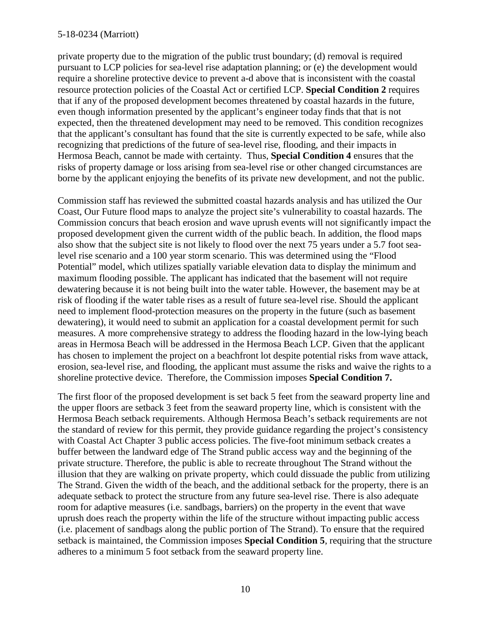private property due to the migration of the public trust boundary; (d) removal is required pursuant to LCP policies for sea-level rise adaptation planning; or (e) the development would require a shoreline protective device to prevent a-d above that is inconsistent with the coastal resource protection policies of the Coastal Act or certified LCP. **Special Condition 2** requires that if any of the proposed development becomes threatened by coastal hazards in the future, even though information presented by the applicant's engineer today finds that that is not expected, then the threatened development may need to be removed. This condition recognizes that the applicant's consultant has found that the site is currently expected to be safe, while also recognizing that predictions of the future of sea-level rise, flooding, and their impacts in Hermosa Beach, cannot be made with certainty. Thus, **Special Condition 4** ensures that the risks of property damage or loss arising from sea-level rise or other changed circumstances are borne by the applicant enjoying the benefits of its private new development, and not the public.

Commission staff has reviewed the submitted coastal hazards analysis and has utilized the Our Coast, Our Future flood maps to analyze the project site's vulnerability to coastal hazards. The Commission concurs that beach erosion and wave uprush events will not significantly impact the proposed development given the current width of the public beach. In addition, the flood maps also show that the subject site is not likely to flood over the next 75 years under a 5.7 foot sealevel rise scenario and a 100 year storm scenario. This was determined using the "Flood Potential" model, which utilizes spatially variable elevation data to display the minimum and maximum flooding possible. The applicant has indicated that the basement will not require dewatering because it is not being built into the water table. However, the basement may be at risk of flooding if the water table rises as a result of future sea-level rise. Should the applicant need to implement flood-protection measures on the property in the future (such as basement dewatering), it would need to submit an application for a coastal development permit for such measures. A more comprehensive strategy to address the flooding hazard in the low-lying beach areas in Hermosa Beach will be addressed in the Hermosa Beach LCP. Given that the applicant has chosen to implement the project on a beachfront lot despite potential risks from wave attack, erosion, sea-level rise, and flooding, the applicant must assume the risks and waive the rights to a shoreline protective device. Therefore, the Commission imposes **Special Condition 7.** 

The first floor of the proposed development is set back 5 feet from the seaward property line and the upper floors are setback 3 feet from the seaward property line, which is consistent with the Hermosa Beach setback requirements. Although Hermosa Beach's setback requirements are not the standard of review for this permit, they provide guidance regarding the project's consistency with Coastal Act Chapter 3 public access policies. The five-foot minimum setback creates a buffer between the landward edge of The Strand public access way and the beginning of the private structure. Therefore, the public is able to recreate throughout The Strand without the illusion that they are walking on private property, which could dissuade the public from utilizing The Strand. Given the width of the beach, and the additional setback for the property, there is an adequate setback to protect the structure from any future sea-level rise. There is also adequate room for adaptive measures (i.e. sandbags, barriers) on the property in the event that wave uprush does reach the property within the life of the structure without impacting public access (i.e. placement of sandbags along the public portion of The Strand). To ensure that the required setback is maintained, the Commission imposes **Special Condition 5**, requiring that the structure adheres to a minimum 5 foot setback from the seaward property line.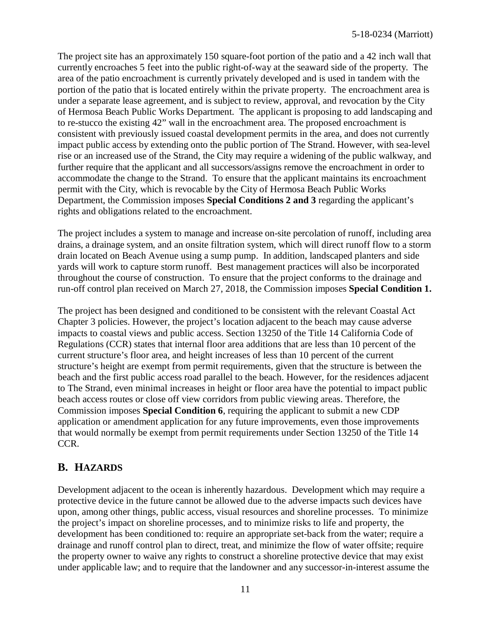The project site has an approximately 150 square-foot portion of the patio and a 42 inch wall that currently encroaches 5 feet into the public right-of-way at the seaward side of the property. The area of the patio encroachment is currently privately developed and is used in tandem with the portion of the patio that is located entirely within the private property. The encroachment area is under a separate lease agreement, and is subject to review, approval, and revocation by the City of Hermosa Beach Public Works Department. The applicant is proposing to add landscaping and to re-stucco the existing 42" wall in the encroachment area. The proposed encroachment is consistent with previously issued coastal development permits in the area, and does not currently impact public access by extending onto the public portion of The Strand. However, with sea-level rise or an increased use of the Strand, the City may require a widening of the public walkway, and further require that the applicant and all successors/assigns remove the encroachment in order to accommodate the change to the Strand. To ensure that the applicant maintains its encroachment permit with the City, which is revocable by the City of Hermosa Beach Public Works Department, the Commission imposes **Special Conditions 2 and 3** regarding the applicant's rights and obligations related to the encroachment.

The project includes a system to manage and increase on-site percolation of runoff, including area drains, a drainage system, and an onsite filtration system, which will direct runoff flow to a storm drain located on Beach Avenue using a sump pump. In addition, landscaped planters and side yards will work to capture storm runoff. Best management practices will also be incorporated throughout the course of construction. To ensure that the project conforms to the drainage and run-off control plan received on March 27, 2018, the Commission imposes **Special Condition 1.**

The project has been designed and conditioned to be consistent with the relevant Coastal Act Chapter 3 policies. However, the project's location adjacent to the beach may cause adverse impacts to coastal views and public access. Section 13250 of the Title 14 California Code of Regulations (CCR) states that internal floor area additions that are less than 10 percent of the current structure's floor area, and height increases of less than 10 percent of the current structure's height are exempt from permit requirements, given that the structure is between the beach and the first public access road parallel to the beach. However, for the residences adjacent to The Strand, even minimal increases in height or floor area have the potential to impact public beach access routes or close off view corridors from public viewing areas. Therefore, the Commission imposes **Special Condition 6**, requiring the applicant to submit a new CDP application or amendment application for any future improvements, even those improvements that would normally be exempt from permit requirements under Section 13250 of the Title 14 CCR.

### **B. HAZARDS**

Development adjacent to the ocean is inherently hazardous. Development which may require a protective device in the future cannot be allowed due to the adverse impacts such devices have upon, among other things, public access, visual resources and shoreline processes. To minimize the project's impact on shoreline processes, and to minimize risks to life and property, the development has been conditioned to: require an appropriate set-back from the water; require a drainage and runoff control plan to direct, treat, and minimize the flow of water offsite; require the property owner to waive any rights to construct a shoreline protective device that may exist under applicable law; and to require that the landowner and any successor-in-interest assume the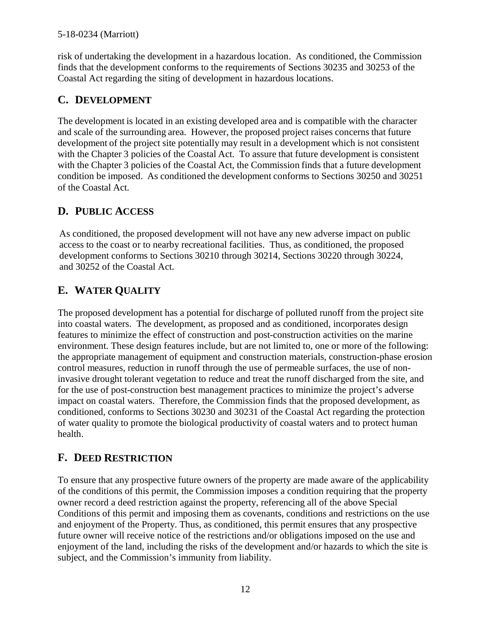risk of undertaking the development in a hazardous location. As conditioned, the Commission finds that the development conforms to the requirements of Sections 30235 and 30253 of the Coastal Act regarding the siting of development in hazardous locations.

### **C. DEVELOPMENT**

The development is located in an existing developed area and is compatible with the character and scale of the surrounding area. However, the proposed project raises concerns that future development of the project site potentially may result in a development which is not consistent with the Chapter 3 policies of the Coastal Act. To assure that future development is consistent with the Chapter 3 policies of the Coastal Act, the Commission finds that a future development condition be imposed. As conditioned the development conforms to Sections 30250 and 30251 of the Coastal Act.

### **D. PUBLIC ACCESS**

As conditioned, the proposed development will not have any new adverse impact on public access to the coast or to nearby recreational facilities. Thus, as conditioned, the proposed development conforms to Sections 30210 through 30214, Sections 30220 through 30224, and 30252 of the Coastal Act.

# **E. WATER QUALITY**

The proposed development has a potential for discharge of polluted runoff from the project site into coastal waters. The development, as proposed and as conditioned, incorporates design features to minimize the effect of construction and post-construction activities on the marine environment. These design features include, but are not limited to, one or more of the following: the appropriate management of equipment and construction materials, construction-phase erosion control measures, reduction in runoff through the use of permeable surfaces, the use of noninvasive drought tolerant vegetation to reduce and treat the runoff discharged from the site, and for the use of post-construction best management practices to minimize the project's adverse impact on coastal waters. Therefore, the Commission finds that the proposed development, as conditioned, conforms to Sections 30230 and 30231 of the Coastal Act regarding the protection of water quality to promote the biological productivity of coastal waters and to protect human health.

### **F. DEED RESTRICTION**

To ensure that any prospective future owners of the property are made aware of the applicability of the conditions of this permit, the Commission imposes a condition requiring that the property owner record a deed restriction against the property, referencing all of the above Special Conditions of this permit and imposing them as covenants, conditions and restrictions on the use and enjoyment of the Property. Thus, as conditioned, this permit ensures that any prospective future owner will receive notice of the restrictions and/or obligations imposed on the use and enjoyment of the land, including the risks of the development and/or hazards to which the site is subject, and the Commission's immunity from liability.